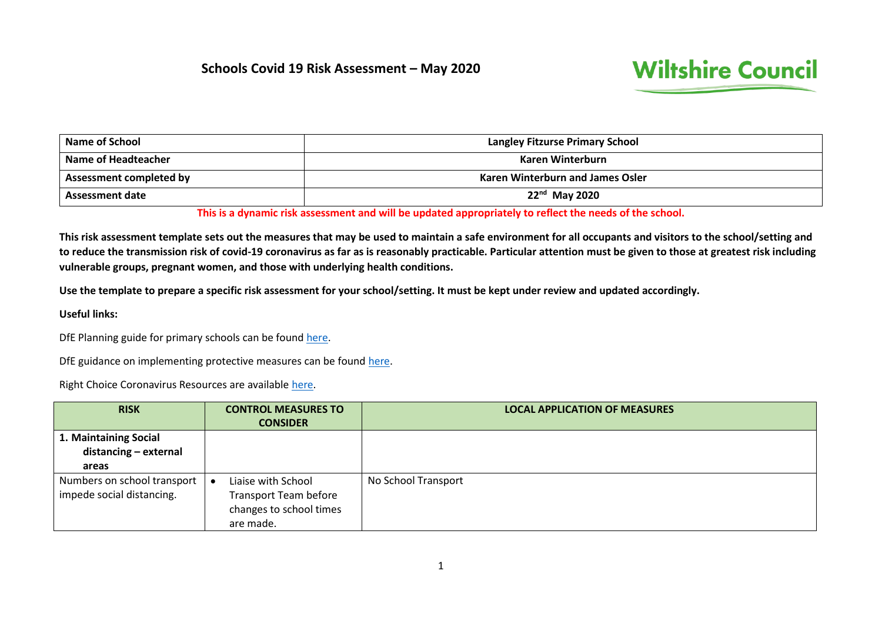## **Schools Covid 19 Risk Assessment – May 2020**



| Name of School          | <b>Langley Fitzurse Primary School</b>  |
|-------------------------|-----------------------------------------|
| Name of Headteacher     | Karen Winterburn                        |
| Assessment completed by | <b>Karen Winterburn and James Osler</b> |
| Assessment date         | $22nd$ May 2020                         |

**This is a dynamic risk assessment and will be updated appropriately to reflect the needs of the school.**

**This risk assessment template sets out the measures that may be used to maintain a safe environment for all occupants and visitors to the school/setting and to reduce the transmission risk of covid-19 coronavirus as far as is reasonably practicable. Particular attention must be given to those at greatest risk including vulnerable groups, pregnant women, and those with underlying health conditions.** 

**Use the template to prepare a specific risk assessment for your school/setting. It must be kept under review and updated accordingly.**

**Useful links:**

DfE Planning guide for primary schools can be foun[d here.](https://www.gov.uk/government/publications/preparing-for-the-wider-opening-of-schools-from-1-june/planning-guide-for-primary-schools)

DfE guidance on implementing protective measures can be foun[d here.](https://www.gov.uk/government/publications/coronavirus-covid-19-implementing-protective-measures-in-education-and-childcare-settings/coronavirus-covid-19-implementing-protective-measures-in-education-and-childcare-settings)

Right Choice Coronavirus Resources are available [here.](https://secure2.sla-online.co.uk/v3/Resources/Page/16834)

| <b>RISK</b>                 | <b>CONTROL MEASURES TO</b>   | <b>LOCAL APPLICATION OF MEASURES</b> |
|-----------------------------|------------------------------|--------------------------------------|
|                             | <b>CONSIDER</b>              |                                      |
| 1. Maintaining Social       |                              |                                      |
| distancing - external       |                              |                                      |
| areas                       |                              |                                      |
| Numbers on school transport | Liaise with School           | No School Transport                  |
| impede social distancing.   | <b>Transport Team before</b> |                                      |
|                             | changes to school times      |                                      |
|                             | are made.                    |                                      |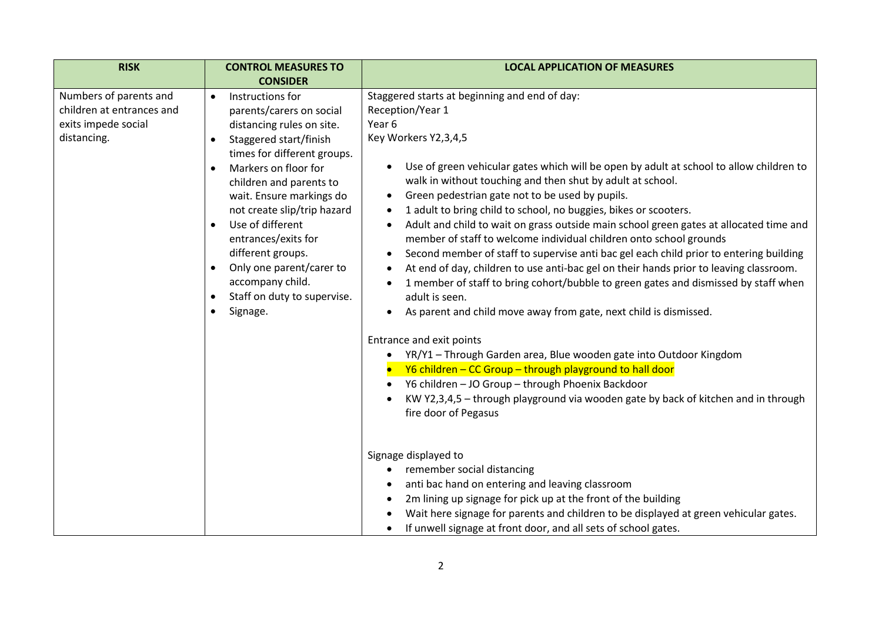| <b>RISK</b>                                                                               | <b>CONTROL MEASURES TO</b><br><b>CONSIDER</b>                                                                                                                                                                                                                                                                                                                                                                                                                                             | <b>LOCAL APPLICATION OF MEASURES</b>                                                                                                                                                                                                                                                                                                                                                                                                                                                                                                                                                                                                                                                                                                                                                                                                                                                                                                                                                                                                                                                                                                                                                                                                                                |
|-------------------------------------------------------------------------------------------|-------------------------------------------------------------------------------------------------------------------------------------------------------------------------------------------------------------------------------------------------------------------------------------------------------------------------------------------------------------------------------------------------------------------------------------------------------------------------------------------|---------------------------------------------------------------------------------------------------------------------------------------------------------------------------------------------------------------------------------------------------------------------------------------------------------------------------------------------------------------------------------------------------------------------------------------------------------------------------------------------------------------------------------------------------------------------------------------------------------------------------------------------------------------------------------------------------------------------------------------------------------------------------------------------------------------------------------------------------------------------------------------------------------------------------------------------------------------------------------------------------------------------------------------------------------------------------------------------------------------------------------------------------------------------------------------------------------------------------------------------------------------------|
| Numbers of parents and<br>children at entrances and<br>exits impede social<br>distancing. | Instructions for<br>$\bullet$<br>parents/carers on social<br>distancing rules on site.<br>Staggered start/finish<br>$\bullet$<br>times for different groups.<br>Markers on floor for<br>children and parents to<br>wait. Ensure markings do<br>not create slip/trip hazard<br>Use of different<br>$\bullet$<br>entrances/exits for<br>different groups.<br>Only one parent/carer to<br>$\bullet$<br>accompany child.<br>Staff on duty to supervise.<br>$\bullet$<br>Signage.<br>$\bullet$ | Staggered starts at beginning and end of day:<br>Reception/Year 1<br>Year 6<br>Key Workers Y2,3,4,5<br>Use of green vehicular gates which will be open by adult at school to allow children to<br>walk in without touching and then shut by adult at school.<br>Green pedestrian gate not to be used by pupils.<br>$\bullet$<br>1 adult to bring child to school, no buggies, bikes or scooters.<br>Adult and child to wait on grass outside main school green gates at allocated time and<br>member of staff to welcome individual children onto school grounds<br>Second member of staff to supervise anti bac gel each child prior to entering building<br>At end of day, children to use anti-bac gel on their hands prior to leaving classroom.<br>1 member of staff to bring cohort/bubble to green gates and dismissed by staff when<br>adult is seen.<br>As parent and child move away from gate, next child is dismissed.<br>Entrance and exit points<br>YR/Y1 - Through Garden area, Blue wooden gate into Outdoor Kingdom<br>Y6 children - CC Group - through playground to hall door<br>Y6 children - JO Group - through Phoenix Backdoor<br>KW Y2,3,4,5 - through playground via wooden gate by back of kitchen and in through<br>fire door of Pegasus |
|                                                                                           |                                                                                                                                                                                                                                                                                                                                                                                                                                                                                           | Signage displayed to<br>remember social distancing<br>anti bac hand on entering and leaving classroom<br>2m lining up signage for pick up at the front of the building<br>Wait here signage for parents and children to be displayed at green vehicular gates.<br>If unwell signage at front door, and all sets of school gates.                                                                                                                                                                                                                                                                                                                                                                                                                                                                                                                                                                                                                                                                                                                                                                                                                                                                                                                                    |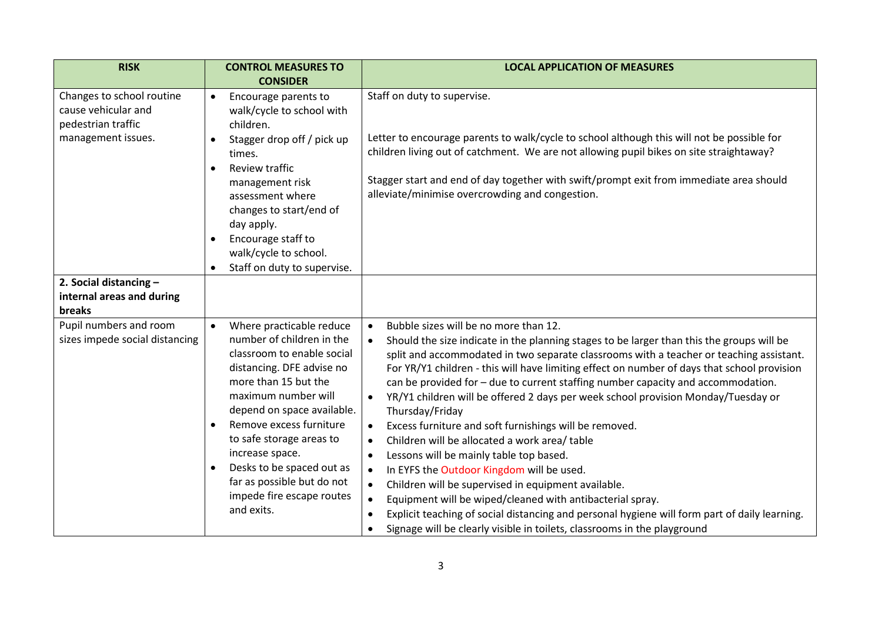| <b>RISK</b>                                                                                  | <b>CONTROL MEASURES TO</b><br><b>CONSIDER</b>                                                                                                                                                                                                                                                                                                                                                           | <b>LOCAL APPLICATION OF MEASURES</b>                                                                                                                                                                                                                                                                                                                                                                                                                                                                                                                                                                                                                                                                                                                                                                                                                                                                                                                                                                                                                                                                                    |
|----------------------------------------------------------------------------------------------|---------------------------------------------------------------------------------------------------------------------------------------------------------------------------------------------------------------------------------------------------------------------------------------------------------------------------------------------------------------------------------------------------------|-------------------------------------------------------------------------------------------------------------------------------------------------------------------------------------------------------------------------------------------------------------------------------------------------------------------------------------------------------------------------------------------------------------------------------------------------------------------------------------------------------------------------------------------------------------------------------------------------------------------------------------------------------------------------------------------------------------------------------------------------------------------------------------------------------------------------------------------------------------------------------------------------------------------------------------------------------------------------------------------------------------------------------------------------------------------------------------------------------------------------|
| Changes to school routine<br>cause vehicular and<br>pedestrian traffic<br>management issues. | Encourage parents to<br>walk/cycle to school with<br>children.<br>Stagger drop off / pick up<br>times.<br>Review traffic<br>$\bullet$<br>management risk<br>assessment where<br>changes to start/end of<br>day apply.<br>Encourage staff to<br>$\bullet$<br>walk/cycle to school.                                                                                                                       | Staff on duty to supervise.<br>Letter to encourage parents to walk/cycle to school although this will not be possible for<br>children living out of catchment. We are not allowing pupil bikes on site straightaway?<br>Stagger start and end of day together with swift/prompt exit from immediate area should<br>alleviate/minimise overcrowding and congestion.                                                                                                                                                                                                                                                                                                                                                                                                                                                                                                                                                                                                                                                                                                                                                      |
| 2. Social distancing -<br>internal areas and during<br>breaks                                | Staff on duty to supervise.                                                                                                                                                                                                                                                                                                                                                                             |                                                                                                                                                                                                                                                                                                                                                                                                                                                                                                                                                                                                                                                                                                                                                                                                                                                                                                                                                                                                                                                                                                                         |
| Pupil numbers and room<br>sizes impede social distancing                                     | Where practicable reduce<br>$\bullet$<br>number of children in the<br>classroom to enable social<br>distancing. DFE advise no<br>more than 15 but the<br>maximum number will<br>depend on space available.<br>Remove excess furniture<br>$\bullet$<br>to safe storage areas to<br>increase space.<br>Desks to be spaced out as<br>far as possible but do not<br>impede fire escape routes<br>and exits. | Bubble sizes will be no more than 12.<br>$\bullet$<br>Should the size indicate in the planning stages to be larger than this the groups will be<br>split and accommodated in two separate classrooms with a teacher or teaching assistant.<br>For YR/Y1 children - this will have limiting effect on number of days that school provision<br>can be provided for - due to current staffing number capacity and accommodation.<br>YR/Y1 children will be offered 2 days per week school provision Monday/Tuesday or<br>$\bullet$<br>Thursday/Friday<br>Excess furniture and soft furnishings will be removed.<br>$\bullet$<br>Children will be allocated a work area/ table<br>$\bullet$<br>Lessons will be mainly table top based.<br>$\bullet$<br>In EYFS the Outdoor Kingdom will be used.<br>$\bullet$<br>Children will be supervised in equipment available.<br>$\bullet$<br>Equipment will be wiped/cleaned with antibacterial spray.<br>Explicit teaching of social distancing and personal hygiene will form part of daily learning.<br>Signage will be clearly visible in toilets, classrooms in the playground |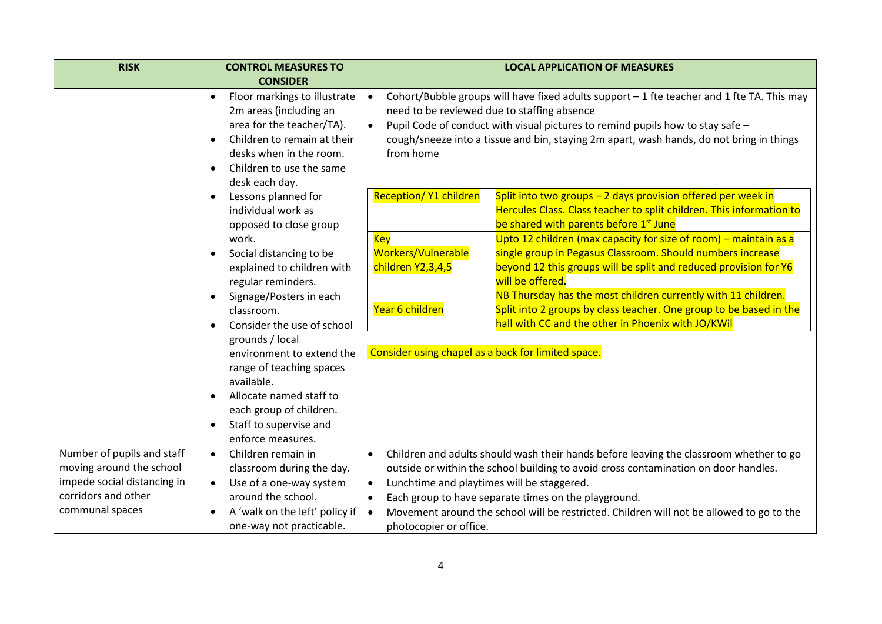| <b>RISK</b>                 | <b>CONTROL MEASURES TO</b>                                                                                                                                                                                                                                                                                                                                                                                                                                                                                                                                                                            | <b>LOCAL APPLICATION OF MEASURES</b>                                                                                                                                                                                                                                                                                                             |  |  |  |
|-----------------------------|-------------------------------------------------------------------------------------------------------------------------------------------------------------------------------------------------------------------------------------------------------------------------------------------------------------------------------------------------------------------------------------------------------------------------------------------------------------------------------------------------------------------------------------------------------------------------------------------------------|--------------------------------------------------------------------------------------------------------------------------------------------------------------------------------------------------------------------------------------------------------------------------------------------------------------------------------------------------|--|--|--|
|                             | <b>CONSIDER</b>                                                                                                                                                                                                                                                                                                                                                                                                                                                                                                                                                                                       |                                                                                                                                                                                                                                                                                                                                                  |  |  |  |
|                             | Cohort/Bubble groups will have fixed adults support $-1$ fte teacher and 1 fte TA. This may<br>Floor markings to illustrate<br>$\bullet$<br>$\bullet$<br>need to be reviewed due to staffing absence<br>2m areas (including an<br>area for the teacher/TA).<br>Pupil Code of conduct with visual pictures to remind pupils how to stay safe -<br>$\bullet$<br>Children to remain at their<br>cough/sneeze into a tissue and bin, staying 2m apart, wash hands, do not bring in things<br>$\bullet$<br>from home<br>desks when in the room.<br>Children to use the same<br>$\bullet$<br>desk each day. |                                                                                                                                                                                                                                                                                                                                                  |  |  |  |
|                             | Lessons planned for<br>$\bullet$<br>individual work as<br>opposed to close group                                                                                                                                                                                                                                                                                                                                                                                                                                                                                                                      | <b>Reception/ Y1 children</b><br>Split into two groups $-2$ days provision offered per week in<br>Hercules Class. Class teacher to split children. This information to<br>be shared with parents before 1 <sup>st</sup> June                                                                                                                     |  |  |  |
|                             | work.<br>Social distancing to be<br>$\bullet$<br>explained to children with<br>regular reminders.<br>Signage/Posters in each<br>$\bullet$                                                                                                                                                                                                                                                                                                                                                                                                                                                             | Upto 12 children (max capacity for size of room) - maintain as a<br><b>Key</b><br>Workers/Vulnerable<br>single group in Pegasus Classroom. Should numbers increase<br>beyond 12 this groups will be split and reduced provision for Y6<br>children Y2,3,4,5<br>will be offered.<br>NB Thursday has the most children currently with 11 children. |  |  |  |
|                             | classroom.<br>Consider the use of school<br>$\bullet$                                                                                                                                                                                                                                                                                                                                                                                                                                                                                                                                                 | Year 6 children<br>Split into 2 groups by class teacher. One group to be based in the<br>hall with CC and the other in Phoenix with JO/KWil                                                                                                                                                                                                      |  |  |  |
|                             | grounds / local<br>environment to extend the<br>range of teaching spaces<br>available.<br>Allocate named staff to<br>$\bullet$<br>each group of children.<br>Staff to supervise and<br>$\bullet$<br>enforce measures.                                                                                                                                                                                                                                                                                                                                                                                 | Consider using chapel as a back for limited space.                                                                                                                                                                                                                                                                                               |  |  |  |
| Number of pupils and staff  | Children remain in<br>$\bullet$                                                                                                                                                                                                                                                                                                                                                                                                                                                                                                                                                                       | Children and adults should wash their hands before leaving the classroom whether to go<br>$\bullet$                                                                                                                                                                                                                                              |  |  |  |
| moving around the school    | classroom during the day.                                                                                                                                                                                                                                                                                                                                                                                                                                                                                                                                                                             | outside or within the school building to avoid cross contamination on door handles.                                                                                                                                                                                                                                                              |  |  |  |
| impede social distancing in | Use of a one-way system<br>$\bullet$                                                                                                                                                                                                                                                                                                                                                                                                                                                                                                                                                                  | Lunchtime and playtimes will be staggered.                                                                                                                                                                                                                                                                                                       |  |  |  |
| corridors and other         | around the school.                                                                                                                                                                                                                                                                                                                                                                                                                                                                                                                                                                                    | Each group to have separate times on the playground.                                                                                                                                                                                                                                                                                             |  |  |  |
| communal spaces             | A 'walk on the left' policy if<br>$\bullet$<br>one-way not practicable.                                                                                                                                                                                                                                                                                                                                                                                                                                                                                                                               | Movement around the school will be restricted. Children will not be allowed to go to the<br>photocopier or office.                                                                                                                                                                                                                               |  |  |  |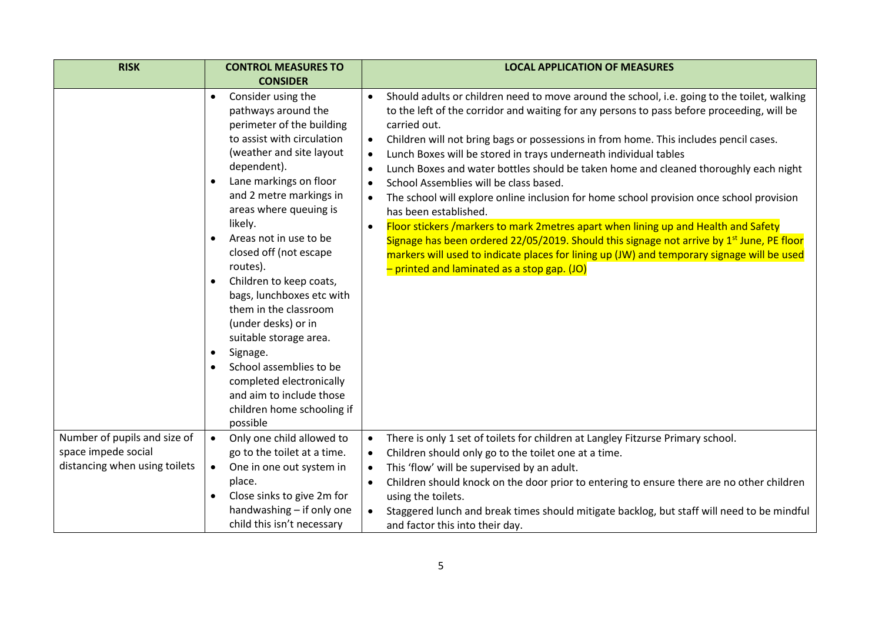| <b>CONSIDER</b><br>Consider using the<br>pathways around the<br>perimeter of the building                                                                                                                                                                                                                                                                                                                                                                                                                                                         | Should adults or children need to move around the school, i.e. going to the toilet, walking<br>$\bullet$<br>to the left of the corridor and waiting for any persons to pass before proceeding, will be<br>carried out.                                                                                                                                                                                                                                                                                                                                                                                                                                                                                                                                                                                           |
|---------------------------------------------------------------------------------------------------------------------------------------------------------------------------------------------------------------------------------------------------------------------------------------------------------------------------------------------------------------------------------------------------------------------------------------------------------------------------------------------------------------------------------------------------|------------------------------------------------------------------------------------------------------------------------------------------------------------------------------------------------------------------------------------------------------------------------------------------------------------------------------------------------------------------------------------------------------------------------------------------------------------------------------------------------------------------------------------------------------------------------------------------------------------------------------------------------------------------------------------------------------------------------------------------------------------------------------------------------------------------|
|                                                                                                                                                                                                                                                                                                                                                                                                                                                                                                                                                   |                                                                                                                                                                                                                                                                                                                                                                                                                                                                                                                                                                                                                                                                                                                                                                                                                  |
| to assist with circulation<br>(weather and site layout<br>dependent).<br>Lane markings on floor<br>$\bullet$<br>and 2 metre markings in<br>areas where queuing is<br>likely.<br>Areas not in use to be<br>closed off (not escape<br>routes).<br>Children to keep coats,<br>$\bullet$<br>bags, lunchboxes etc with<br>them in the classroom<br>(under desks) or in<br>suitable storage area.<br>Signage.<br>$\bullet$<br>School assemblies to be<br>completed electronically<br>and aim to include those<br>children home schooling if<br>possible | Children will not bring bags or possessions in from home. This includes pencil cases.<br>$\bullet$<br>Lunch Boxes will be stored in trays underneath individual tables<br>$\bullet$<br>Lunch Boxes and water bottles should be taken home and cleaned thoroughly each night<br>$\bullet$<br>School Assemblies will be class based.<br>$\bullet$<br>The school will explore online inclusion for home school provision once school provision<br>has been established.<br>Floor stickers /markers to mark 2metres apart when lining up and Health and Safety<br>Signage has been ordered 22/05/2019. Should this signage not arrive by 1 <sup>st</sup> June, PE floor<br>markers will used to indicate places for lining up (JW) and temporary signage will be used<br>- printed and laminated as a stop gap. (JO) |
| Only one child allowed to<br>go to the toilet at a time.<br>One in one out system in<br>$\bullet$<br>place.<br>Close sinks to give 2m for<br>$\bullet$<br>handwashing - if only one                                                                                                                                                                                                                                                                                                                                                               | There is only 1 set of toilets for children at Langley Fitzurse Primary school.<br>$\bullet$<br>Children should only go to the toilet one at a time.<br>$\bullet$<br>This 'flow' will be supervised by an adult.<br>Children should knock on the door prior to entering to ensure there are no other children<br>$\bullet$<br>using the toilets.<br>Staggered lunch and break times should mitigate backlog, but staff will need to be mindful                                                                                                                                                                                                                                                                                                                                                                   |
|                                                                                                                                                                                                                                                                                                                                                                                                                                                                                                                                                   | child this isn't necessary                                                                                                                                                                                                                                                                                                                                                                                                                                                                                                                                                                                                                                                                                                                                                                                       |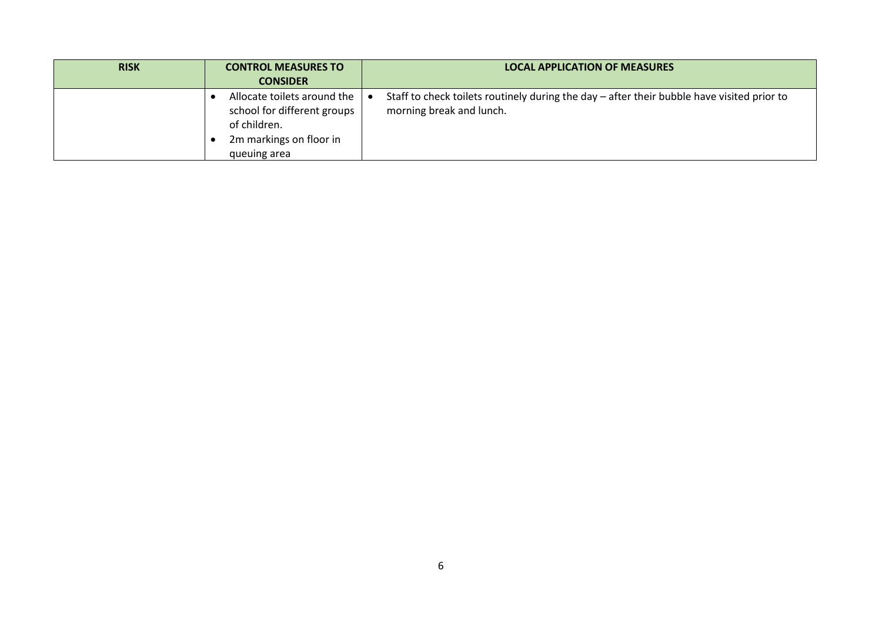| <b>RISK</b> | <b>CONTROL MEASURES TO</b>                                                                                            | <b>LOCAL APPLICATION OF MEASURES</b>                                                                                   |
|-------------|-----------------------------------------------------------------------------------------------------------------------|------------------------------------------------------------------------------------------------------------------------|
|             | <b>CONSIDER</b>                                                                                                       |                                                                                                                        |
|             | Allocate toilets around the<br>school for different groups<br>of children.<br>2m markings on floor in<br>queuing area | Staff to check toilets routinely during the day - after their bubble have visited prior to<br>morning break and lunch. |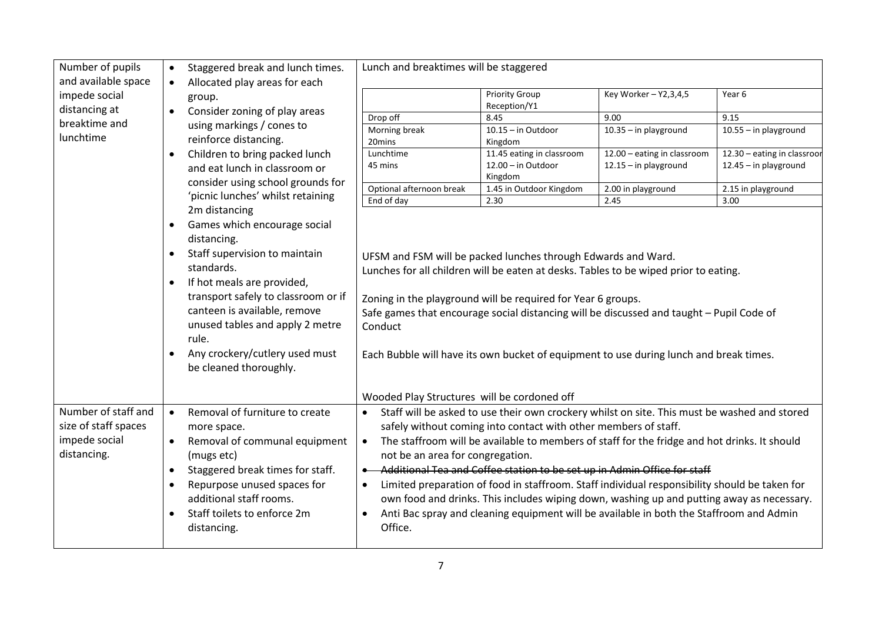| Number of pupils<br>and available space | $\bullet$                                        | Staggered break and lunch times.                                         | Lunch and breaktimes will be staggered                                               |                                                                 |                                                                                               |                             |  |
|-----------------------------------------|--------------------------------------------------|--------------------------------------------------------------------------|--------------------------------------------------------------------------------------|-----------------------------------------------------------------|-----------------------------------------------------------------------------------------------|-----------------------------|--|
| impede social<br>distancing at          | $\bullet$                                        | Allocated play areas for each<br>group.<br>Consider zoning of play areas |                                                                                      | <b>Priority Group</b><br>Reception/Y1                           | Key Worker - Y2,3,4,5                                                                         | Year 6                      |  |
| breaktime and                           |                                                  |                                                                          | Drop off                                                                             | 8.45                                                            | 9.00                                                                                          | 9.15                        |  |
|                                         |                                                  | using markings / cones to                                                | Morning break                                                                        | $10.15 - in Outdoor$                                            | 10.35 - in playground                                                                         | 10.55 - in playground       |  |
| lunchtime                               |                                                  | reinforce distancing.                                                    | 20mins                                                                               | Kingdom                                                         |                                                                                               |                             |  |
|                                         | $\bullet$                                        | Children to bring packed lunch                                           | Lunchtime                                                                            | 11.45 eating in classroom                                       | 12.00 - eating in classroom                                                                   | 12.30 - eating in classroor |  |
|                                         |                                                  | and eat lunch in classroom or                                            | 45 mins                                                                              | $12.00 - in Outdoor$<br>Kingdom                                 | $12.15 - in$ playground                                                                       | $12.45 - in$ playground     |  |
|                                         |                                                  | consider using school grounds for                                        | Optional afternoon break                                                             | 1.45 in Outdoor Kingdom                                         | 2.00 in playground                                                                            | 2.15 in playground          |  |
|                                         |                                                  | 'picnic lunches' whilst retaining                                        | End of day                                                                           | 2.30                                                            | 2.45                                                                                          | 3.00                        |  |
|                                         |                                                  | 2m distancing                                                            |                                                                                      |                                                                 |                                                                                               |                             |  |
|                                         | $\bullet$                                        | Games which encourage social                                             |                                                                                      |                                                                 |                                                                                               |                             |  |
|                                         |                                                  | distancing.                                                              |                                                                                      |                                                                 |                                                                                               |                             |  |
|                                         | $\bullet$                                        | Staff supervision to maintain                                            |                                                                                      |                                                                 |                                                                                               |                             |  |
|                                         |                                                  | standards.                                                               | UFSM and FSM will be packed lunches through Edwards and Ward.                        |                                                                 |                                                                                               |                             |  |
|                                         |                                                  |                                                                          | Lunches for all children will be eaten at desks. Tables to be wiped prior to eating. |                                                                 |                                                                                               |                             |  |
|                                         | $\bullet$<br>transport safely to classroom or if | If hot meals are provided,                                               |                                                                                      |                                                                 |                                                                                               |                             |  |
|                                         |                                                  | Zoning in the playground will be required for Year 6 groups.             |                                                                                      |                                                                 |                                                                                               |                             |  |
|                                         |                                                  | canteen is available, remove                                             |                                                                                      |                                                                 | Safe games that encourage social distancing will be discussed and taught - Pupil Code of      |                             |  |
|                                         |                                                  | unused tables and apply 2 metre                                          | Conduct                                                                              |                                                                 |                                                                                               |                             |  |
|                                         |                                                  | rule.                                                                    |                                                                                      |                                                                 |                                                                                               |                             |  |
|                                         | $\bullet$                                        | Any crockery/cutlery used must<br>be cleaned thoroughly.                 |                                                                                      |                                                                 | Each Bubble will have its own bucket of equipment to use during lunch and break times.        |                             |  |
|                                         |                                                  |                                                                          | Wooded Play Structures will be cordoned off                                          |                                                                 |                                                                                               |                             |  |
| Number of staff and                     | $\bullet$                                        | Removal of furniture to create                                           | $\bullet$                                                                            |                                                                 | Staff will be asked to use their own crockery whilst on site. This must be washed and stored  |                             |  |
| size of staff spaces                    |                                                  | more space.                                                              |                                                                                      | safely without coming into contact with other members of staff. |                                                                                               |                             |  |
| impede social                           | $\bullet$                                        | Removal of communal equipment                                            | $\bullet$                                                                            |                                                                 | The staffroom will be available to members of staff for the fridge and hot drinks. It should  |                             |  |
| distancing.                             |                                                  | (mugs etc)                                                               | not be an area for congregation.                                                     |                                                                 |                                                                                               |                             |  |
|                                         | $\bullet$                                        | Staggered break times for staff.                                         | Additional Tea and Coffee station to be set up in Admin Office for staff             |                                                                 |                                                                                               |                             |  |
|                                         | $\bullet$                                        | Repurpose unused spaces for                                              | $\bullet$                                                                            |                                                                 | Limited preparation of food in staffroom. Staff individual responsibility should be taken for |                             |  |
|                                         |                                                  | additional staff rooms.                                                  |                                                                                      |                                                                 |                                                                                               |                             |  |
|                                         |                                                  |                                                                          |                                                                                      |                                                                 | own food and drinks. This includes wiping down, washing up and putting away as necessary.     |                             |  |
|                                         | $\bullet$                                        | Staff toilets to enforce 2m                                              | $\bullet$                                                                            |                                                                 | Anti Bac spray and cleaning equipment will be available in both the Staffroom and Admin       |                             |  |
|                                         |                                                  | distancing.                                                              | Office.                                                                              |                                                                 |                                                                                               |                             |  |
|                                         |                                                  |                                                                          |                                                                                      |                                                                 |                                                                                               |                             |  |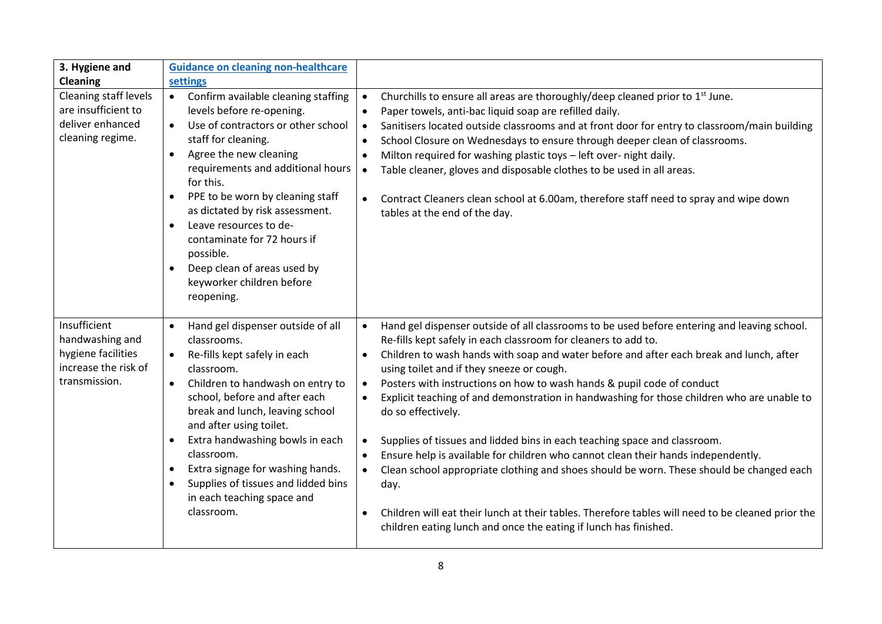| 3. Hygiene and                                                                                 | <b>Guidance on cleaning non-healthcare</b>                                                                                                                                                                                                                                                                                                                                                                                                                                                                     |                                                                                                                                                                                                                                                                                                                                                                                                                                                                                                                                                                                                                                                                                                                                                                                                                                                                                                                                                                                                                                                            |
|------------------------------------------------------------------------------------------------|----------------------------------------------------------------------------------------------------------------------------------------------------------------------------------------------------------------------------------------------------------------------------------------------------------------------------------------------------------------------------------------------------------------------------------------------------------------------------------------------------------------|------------------------------------------------------------------------------------------------------------------------------------------------------------------------------------------------------------------------------------------------------------------------------------------------------------------------------------------------------------------------------------------------------------------------------------------------------------------------------------------------------------------------------------------------------------------------------------------------------------------------------------------------------------------------------------------------------------------------------------------------------------------------------------------------------------------------------------------------------------------------------------------------------------------------------------------------------------------------------------------------------------------------------------------------------------|
| <b>Cleaning</b>                                                                                | settings                                                                                                                                                                                                                                                                                                                                                                                                                                                                                                       |                                                                                                                                                                                                                                                                                                                                                                                                                                                                                                                                                                                                                                                                                                                                                                                                                                                                                                                                                                                                                                                            |
| Cleaning staff levels<br>are insufficient to<br>deliver enhanced<br>cleaning regime.           | Confirm available cleaning staffing<br>$\bullet$<br>levels before re-opening.<br>Use of contractors or other school<br>$\bullet$<br>staff for cleaning.<br>Agree the new cleaning<br>$\bullet$<br>requirements and additional hours<br>for this.<br>PPE to be worn by cleaning staff<br>$\bullet$<br>as dictated by risk assessment.<br>Leave resources to de-<br>$\bullet$<br>contaminate for 72 hours if<br>possible.<br>Deep clean of areas used by<br>$\bullet$<br>keyworker children before<br>reopening. | Churchills to ensure all areas are thoroughly/deep cleaned prior to 1 <sup>st</sup> June.<br>$\bullet$<br>Paper towels, anti-bac liquid soap are refilled daily.<br>$\bullet$<br>Sanitisers located outside classrooms and at front door for entry to classroom/main building<br>$\bullet$<br>School Closure on Wednesdays to ensure through deeper clean of classrooms.<br>$\bullet$<br>Milton required for washing plastic toys - left over- night daily.<br>$\bullet$<br>Table cleaner, gloves and disposable clothes to be used in all areas.<br>$\bullet$<br>Contract Cleaners clean school at 6.00am, therefore staff need to spray and wipe down<br>$\bullet$<br>tables at the end of the day.                                                                                                                                                                                                                                                                                                                                                      |
| Insufficient<br>handwashing and<br>hygiene facilities<br>increase the risk of<br>transmission. | Hand gel dispenser outside of all<br>$\bullet$<br>classrooms.<br>Re-fills kept safely in each<br>classroom.<br>Children to handwash on entry to<br>$\bullet$<br>school, before and after each<br>break and lunch, leaving school<br>and after using toilet.<br>Extra handwashing bowls in each<br>$\bullet$<br>classroom.<br>Extra signage for washing hands.<br>$\bullet$<br>Supplies of tissues and lidded bins<br>$\bullet$<br>in each teaching space and<br>classroom.                                     | Hand gel dispenser outside of all classrooms to be used before entering and leaving school.<br>$\bullet$<br>Re-fills kept safely in each classroom for cleaners to add to.<br>Children to wash hands with soap and water before and after each break and lunch, after<br>$\bullet$<br>using toilet and if they sneeze or cough.<br>Posters with instructions on how to wash hands & pupil code of conduct<br>$\bullet$<br>Explicit teaching of and demonstration in handwashing for those children who are unable to<br>$\bullet$<br>do so effectively.<br>Supplies of tissues and lidded bins in each teaching space and classroom.<br>$\bullet$<br>Ensure help is available for children who cannot clean their hands independently.<br>$\bullet$<br>Clean school appropriate clothing and shoes should be worn. These should be changed each<br>$\bullet$<br>day.<br>Children will eat their lunch at their tables. Therefore tables will need to be cleaned prior the<br>$\bullet$<br>children eating lunch and once the eating if lunch has finished. |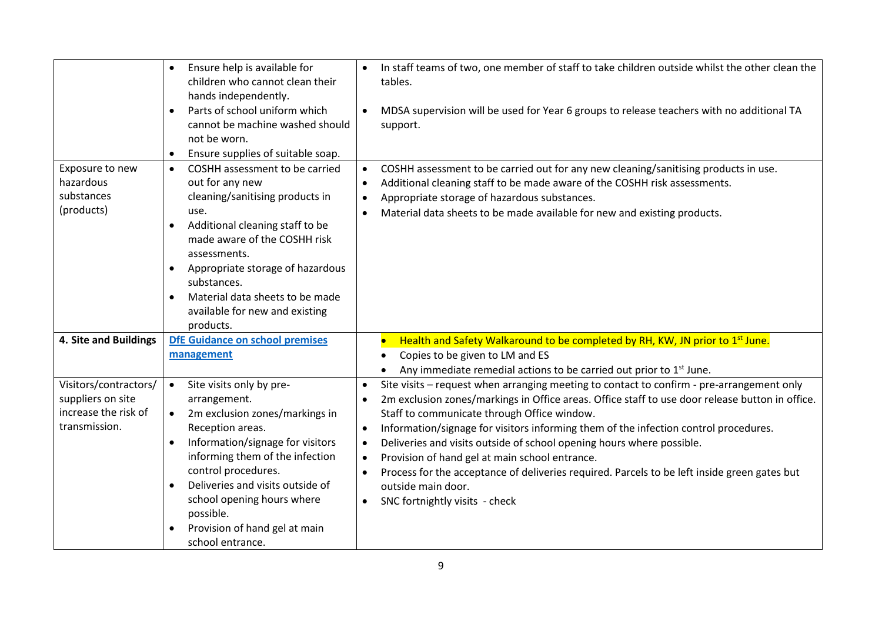|                                                                                     | Ensure help is available for<br>$\bullet$<br>children who cannot clean their<br>hands independently.<br>Parts of school uniform which<br>$\bullet$<br>cannot be machine washed should<br>not be worn.<br>Ensure supplies of suitable soap.<br>$\bullet$                                                                                                                              | In staff teams of two, one member of staff to take children outside whilst the other clean the<br>tables.<br>MDSA supervision will be used for Year 6 groups to release teachers with no additional TA<br>$\bullet$<br>support.                                                                                                                                                                                                                                                                                                                                                                                                                                                                                   |
|-------------------------------------------------------------------------------------|--------------------------------------------------------------------------------------------------------------------------------------------------------------------------------------------------------------------------------------------------------------------------------------------------------------------------------------------------------------------------------------|-------------------------------------------------------------------------------------------------------------------------------------------------------------------------------------------------------------------------------------------------------------------------------------------------------------------------------------------------------------------------------------------------------------------------------------------------------------------------------------------------------------------------------------------------------------------------------------------------------------------------------------------------------------------------------------------------------------------|
| Exposure to new<br>hazardous<br>substances<br>(products)                            | COSHH assessment to be carried<br>$\bullet$<br>out for any new<br>cleaning/sanitising products in<br>use.<br>Additional cleaning staff to be<br>$\bullet$<br>made aware of the COSHH risk<br>assessments.<br>Appropriate storage of hazardous<br>substances.<br>Material data sheets to be made<br>$\bullet$<br>available for new and existing                                       | COSHH assessment to be carried out for any new cleaning/sanitising products in use.<br>$\bullet$<br>Additional cleaning staff to be made aware of the COSHH risk assessments.<br>$\bullet$<br>Appropriate storage of hazardous substances.<br>$\bullet$<br>Material data sheets to be made available for new and existing products.<br>$\bullet$                                                                                                                                                                                                                                                                                                                                                                  |
| 4. Site and Buildings                                                               | products.<br>DfE Guidance on school premises<br>management                                                                                                                                                                                                                                                                                                                           | Health and Safety Walkaround to be completed by RH, KW, JN prior to 1 <sup>st</sup> June.<br>Copies to be given to LM and ES<br>Any immediate remedial actions to be carried out prior to 1 <sup>st</sup> June.                                                                                                                                                                                                                                                                                                                                                                                                                                                                                                   |
| Visitors/contractors/<br>suppliers on site<br>increase the risk of<br>transmission. | Site visits only by pre-<br>$\bullet$<br>arrangement.<br>2m exclusion zones/markings in<br>$\bullet$<br>Reception areas.<br>Information/signage for visitors<br>$\bullet$<br>informing them of the infection<br>control procedures.<br>Deliveries and visits outside of<br>school opening hours where<br>possible.<br>Provision of hand gel at main<br>$\bullet$<br>school entrance. | Site visits - request when arranging meeting to contact to confirm - pre-arrangement only<br>$\bullet$<br>2m exclusion zones/markings in Office areas. Office staff to use door release button in office.<br>$\bullet$<br>Staff to communicate through Office window.<br>Information/signage for visitors informing them of the infection control procedures.<br>$\bullet$<br>Deliveries and visits outside of school opening hours where possible.<br>$\bullet$<br>Provision of hand gel at main school entrance.<br>$\bullet$<br>Process for the acceptance of deliveries required. Parcels to be left inside green gates but<br>$\bullet$<br>outside main door.<br>SNC fortnightly visits - check<br>$\bullet$ |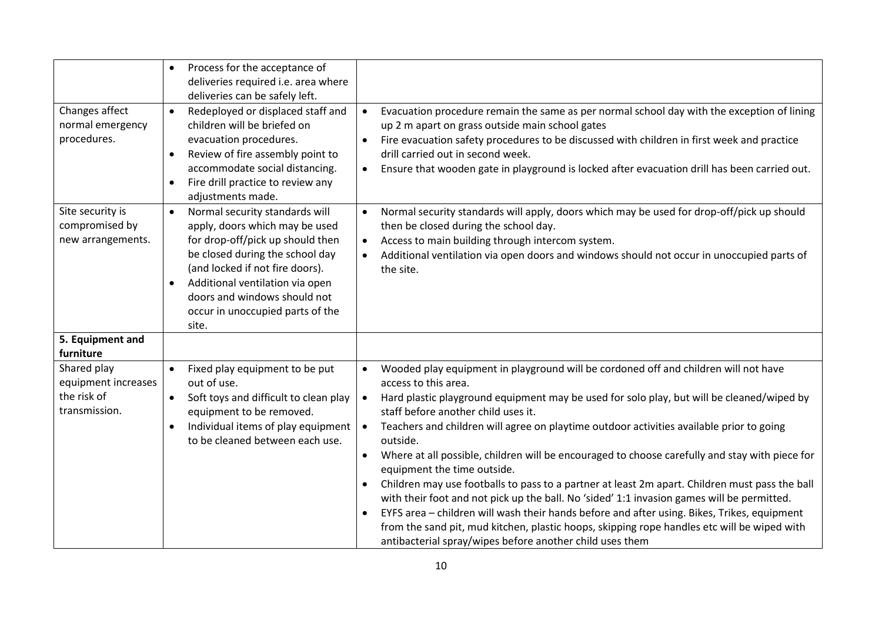|                                                                    | Process for the acceptance of<br>$\bullet$<br>deliveries required i.e. area where<br>deliveries can be safely left.                                                                                                                                                                                                                                                                                                                                                                                                                                                                                                   |                                                                                                                                                                                                                                                                                                                                                                                                                                                                                                                                                                                           |
|--------------------------------------------------------------------|-----------------------------------------------------------------------------------------------------------------------------------------------------------------------------------------------------------------------------------------------------------------------------------------------------------------------------------------------------------------------------------------------------------------------------------------------------------------------------------------------------------------------------------------------------------------------------------------------------------------------|-------------------------------------------------------------------------------------------------------------------------------------------------------------------------------------------------------------------------------------------------------------------------------------------------------------------------------------------------------------------------------------------------------------------------------------------------------------------------------------------------------------------------------------------------------------------------------------------|
| Changes affect<br>normal emergency<br>procedures.                  | Redeployed or displaced staff and<br>$\bullet$<br>children will be briefed on<br>up 2 m apart on grass outside main school gates<br>evacuation procedures.<br>drill carried out in second week.<br>Review of fire assembly point to<br>$\bullet$<br>accommodate social distancing.<br>$\bullet$<br>Fire drill practice to review any<br>$\bullet$<br>adjustments made.                                                                                                                                                                                                                                                | Evacuation procedure remain the same as per normal school day with the exception of lining<br>Fire evacuation safety procedures to be discussed with children in first week and practice<br>Ensure that wooden gate in playground is locked after evacuation drill has been carried out.                                                                                                                                                                                                                                                                                                  |
| Site security is<br>compromised by<br>new arrangements.            | Normal security standards will<br>$\bullet$<br>apply, doors which may be used<br>then be closed during the school day.<br>for drop-off/pick up should then<br>Access to main building through intercom system.<br>$\bullet$<br>be closed during the school day<br>$\bullet$<br>(and locked if not fire doors).<br>the site.<br>Additional ventilation via open<br>$\bullet$<br>doors and windows should not<br>occur in unoccupied parts of the<br>site.                                                                                                                                                              | Normal security standards will apply, doors which may be used for drop-off/pick up should<br>Additional ventilation via open doors and windows should not occur in unoccupied parts of                                                                                                                                                                                                                                                                                                                                                                                                    |
| 5. Equipment and<br>furniture                                      |                                                                                                                                                                                                                                                                                                                                                                                                                                                                                                                                                                                                                       |                                                                                                                                                                                                                                                                                                                                                                                                                                                                                                                                                                                           |
| Shared play<br>equipment increases<br>the risk of<br>transmission. | Wooded play equipment in playground will be cordoned off and children will not have<br>Fixed play equipment to be put<br>out of use.<br>access to this area.<br>Soft toys and difficult to clean play<br>$\bullet$<br>equipment to be removed.<br>staff before another child uses it.<br>Individual items of play equipment<br>Teachers and children will agree on playtime outdoor activities available prior to going<br>$\bullet$<br>$\bullet$<br>to be cleaned between each use.<br>outside.<br>$\bullet$<br>equipment the time outside.<br>$\bullet$<br>antibacterial spray/wipes before another child uses them | Hard plastic playground equipment may be used for solo play, but will be cleaned/wiped by<br>Where at all possible, children will be encouraged to choose carefully and stay with piece for<br>Children may use footballs to pass to a partner at least 2m apart. Children must pass the ball<br>with their foot and not pick up the ball. No 'sided' 1:1 invasion games will be permitted.<br>EYFS area - children will wash their hands before and after using. Bikes, Trikes, equipment<br>from the sand pit, mud kitchen, plastic hoops, skipping rope handles etc will be wiped with |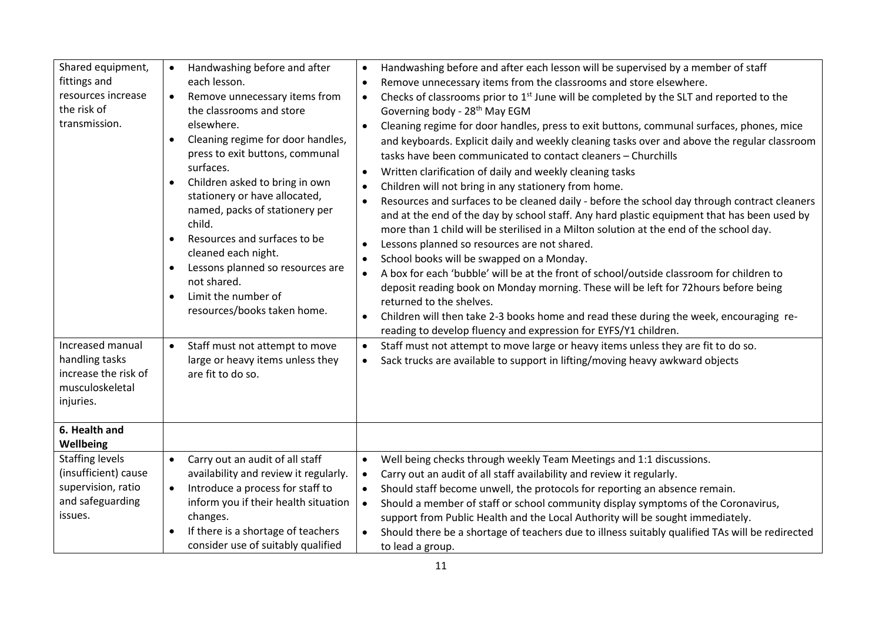| Shared equipment,<br>fittings and<br>resources increase<br>the risk of<br>transmission.             | Handwashing before and after each lesson will be supervised by a member of staff<br>Handwashing before and after<br>$\bullet$<br>each lesson.<br>Remove unnecessary items from the classrooms and store elsewhere.<br>$\bullet$<br>Remove unnecessary items from<br>Checks of classrooms prior to $1st$ June will be completed by the SLT and reported to the<br>$\bullet$<br>the classrooms and store<br>Governing body - 28 <sup>th</sup> May EGM<br>elsewhere.<br>Cleaning regime for door handles, press to exit buttons, communal surfaces, phones, mice<br>$\bullet$<br>Cleaning regime for door handles,<br>and keyboards. Explicit daily and weekly cleaning tasks over and above the regular classroom<br>press to exit buttons, communal<br>tasks have been communicated to contact cleaners - Churchills<br>surfaces.<br>Written clarification of daily and weekly cleaning tasks<br>$\bullet$<br>Children asked to bring in own<br>Children will not bring in any stationery from home.<br>$\bullet$<br>stationery or have allocated,<br>Resources and surfaces to be cleaned daily - before the school day through contract cleaners<br>$\bullet$<br>named, packs of stationery per<br>and at the end of the day by school staff. Any hard plastic equipment that has been used by<br>child.<br>more than 1 child will be sterilised in a Milton solution at the end of the school day.<br>Resources and surfaces to be<br>Lessons planned so resources are not shared.<br>$\bullet$<br>cleaned each night.<br>School books will be swapped on a Monday.<br>$\bullet$<br>Lessons planned so resources are<br>A box for each 'bubble' will be at the front of school/outside classroom for children to<br>$\bullet$<br>not shared.<br>deposit reading book on Monday morning. These will be left for 72hours before being<br>Limit the number of<br>returned to the shelves.<br>resources/books taken home.<br>Children will then take 2-3 books home and read these during the week, encouraging re-<br>$\bullet$<br>reading to develop fluency and expression for EYFS/Y1 children. |  |
|-----------------------------------------------------------------------------------------------------|---------------------------------------------------------------------------------------------------------------------------------------------------------------------------------------------------------------------------------------------------------------------------------------------------------------------------------------------------------------------------------------------------------------------------------------------------------------------------------------------------------------------------------------------------------------------------------------------------------------------------------------------------------------------------------------------------------------------------------------------------------------------------------------------------------------------------------------------------------------------------------------------------------------------------------------------------------------------------------------------------------------------------------------------------------------------------------------------------------------------------------------------------------------------------------------------------------------------------------------------------------------------------------------------------------------------------------------------------------------------------------------------------------------------------------------------------------------------------------------------------------------------------------------------------------------------------------------------------------------------------------------------------------------------------------------------------------------------------------------------------------------------------------------------------------------------------------------------------------------------------------------------------------------------------------------------------------------------------------------------------------------------------------------------------------------------------------------------------|--|
| Increased manual<br>handling tasks<br>increase the risk of<br>musculoskeletal<br>injuries.          | Staff must not attempt to move large or heavy items unless they are fit to do so.<br>Staff must not attempt to move<br>$\bullet$<br>large or heavy items unless they<br>Sack trucks are available to support in lifting/moving heavy awkward objects<br>$\bullet$<br>are fit to do so.                                                                                                                                                                                                                                                                                                                                                                                                                                                                                                                                                                                                                                                                                                                                                                                                                                                                                                                                                                                                                                                                                                                                                                                                                                                                                                                                                                                                                                                                                                                                                                                                                                                                                                                                                                                                            |  |
| 6. Health and<br>Wellbeing                                                                          |                                                                                                                                                                                                                                                                                                                                                                                                                                                                                                                                                                                                                                                                                                                                                                                                                                                                                                                                                                                                                                                                                                                                                                                                                                                                                                                                                                                                                                                                                                                                                                                                                                                                                                                                                                                                                                                                                                                                                                                                                                                                                                   |  |
| <b>Staffing levels</b><br>(insufficient) cause<br>supervision, ratio<br>and safeguarding<br>issues. | Carry out an audit of all staff<br>Well being checks through weekly Team Meetings and 1:1 discussions.<br>$\bullet$<br>availability and review it regularly.<br>Carry out an audit of all staff availability and review it regularly.<br>$\bullet$<br>Introduce a process for staff to<br>Should staff become unwell, the protocols for reporting an absence remain.<br>$\bullet$<br>inform you if their health situation<br>Should a member of staff or school community display symptoms of the Coronavirus,<br>$\bullet$<br>changes.<br>support from Public Health and the Local Authority will be sought immediately.<br>If there is a shortage of teachers<br>Should there be a shortage of teachers due to illness suitably qualified TAs will be redirected<br>$\bullet$<br>consider use of suitably qualified<br>to lead a group.                                                                                                                                                                                                                                                                                                                                                                                                                                                                                                                                                                                                                                                                                                                                                                                                                                                                                                                                                                                                                                                                                                                                                                                                                                                         |  |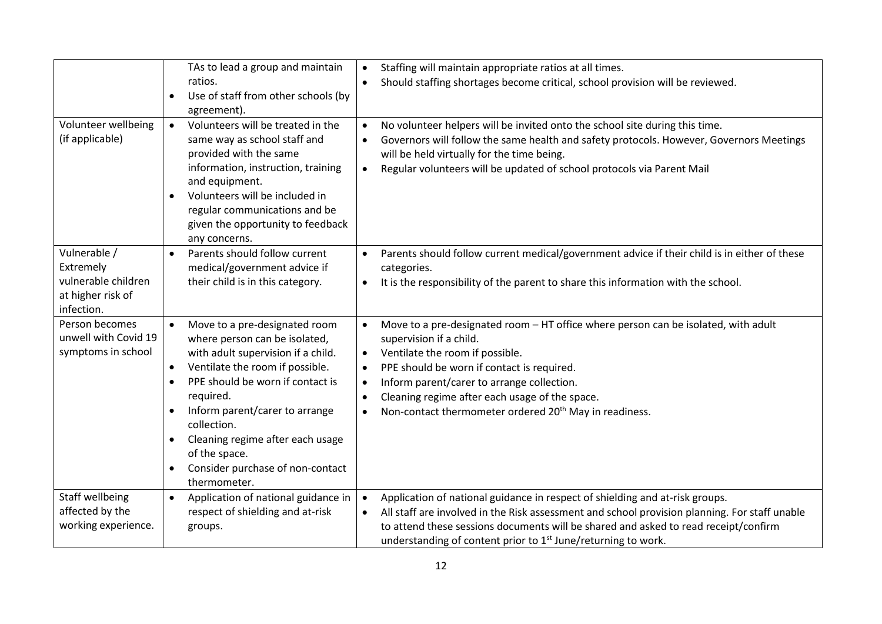|                                                                                     | TAs to lead a group and maintain<br>ratios.<br>Use of staff from other schools (by<br>$\bullet$<br>agreement).                                                                                                                                                                                                                                                                            | Staffing will maintain appropriate ratios at all times.<br>$\bullet$<br>Should staffing shortages become critical, school provision will be reviewed.<br>$\bullet$                                                                                                                                                                                                                                                                                 |
|-------------------------------------------------------------------------------------|-------------------------------------------------------------------------------------------------------------------------------------------------------------------------------------------------------------------------------------------------------------------------------------------------------------------------------------------------------------------------------------------|----------------------------------------------------------------------------------------------------------------------------------------------------------------------------------------------------------------------------------------------------------------------------------------------------------------------------------------------------------------------------------------------------------------------------------------------------|
| Volunteer wellbeing<br>(if applicable)                                              | Volunteers will be treated in the<br>$\bullet$<br>same way as school staff and<br>provided with the same<br>information, instruction, training<br>and equipment.<br>Volunteers will be included in<br>regular communications and be<br>given the opportunity to feedback<br>any concerns.                                                                                                 | No volunteer helpers will be invited onto the school site during this time.<br>$\bullet$<br>Governors will follow the same health and safety protocols. However, Governors Meetings<br>$\bullet$<br>will be held virtually for the time being.<br>Regular volunteers will be updated of school protocols via Parent Mail<br>$\bullet$                                                                                                              |
| Vulnerable /<br>Extremely<br>vulnerable children<br>at higher risk of<br>infection. | Parents should follow current<br>medical/government advice if<br>their child is in this category.                                                                                                                                                                                                                                                                                         | Parents should follow current medical/government advice if their child is in either of these<br>$\bullet$<br>categories.<br>It is the responsibility of the parent to share this information with the school.<br>$\bullet$                                                                                                                                                                                                                         |
| Person becomes<br>unwell with Covid 19<br>symptoms in school                        | Move to a pre-designated room<br>where person can be isolated,<br>with adult supervision if a child.<br>Ventilate the room if possible.<br>$\bullet$<br>PPE should be worn if contact is<br>$\bullet$<br>required.<br>Inform parent/carer to arrange<br>collection.<br>Cleaning regime after each usage<br>$\bullet$<br>of the space.<br>Consider purchase of non-contact<br>thermometer. | Move to a pre-designated room - HT office where person can be isolated, with adult<br>$\bullet$<br>supervision if a child.<br>Ventilate the room if possible.<br>$\bullet$<br>PPE should be worn if contact is required.<br>$\bullet$<br>Inform parent/carer to arrange collection.<br>$\bullet$<br>Cleaning regime after each usage of the space.<br>$\bullet$<br>Non-contact thermometer ordered 20 <sup>th</sup> May in readiness.<br>$\bullet$ |
| Staff wellbeing<br>affected by the<br>working experience.                           | Application of national guidance in<br>$\bullet$<br>respect of shielding and at-risk<br>groups.                                                                                                                                                                                                                                                                                           | Application of national guidance in respect of shielding and at-risk groups.<br>$\bullet$<br>All staff are involved in the Risk assessment and school provision planning. For staff unable<br>$\bullet$<br>to attend these sessions documents will be shared and asked to read receipt/confirm<br>understanding of content prior to 1 <sup>st</sup> June/returning to work.                                                                        |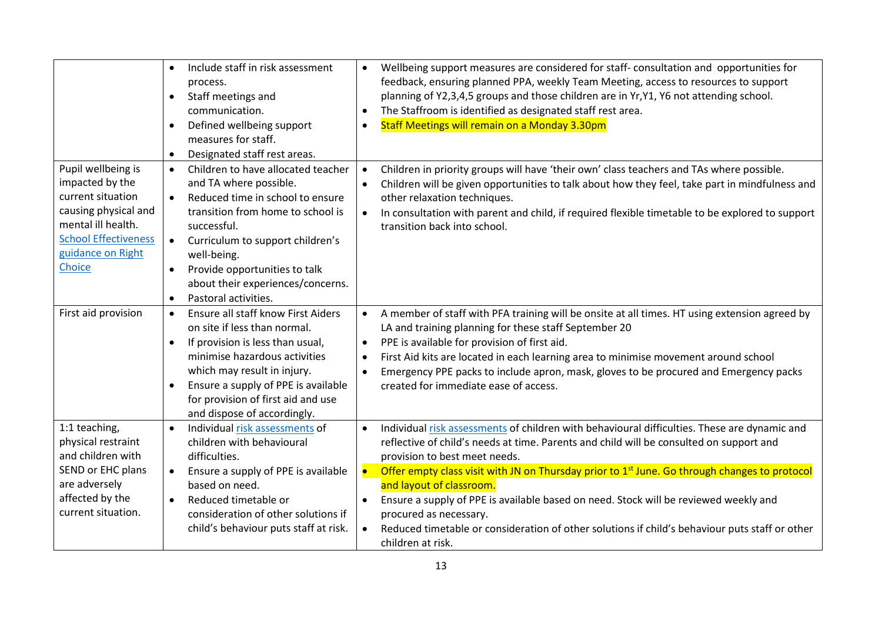|                                                                                                                                                                        | Include staff in risk assessment<br>$\bullet$<br>process.<br>Staff meetings and<br>$\bullet$<br>communication.<br>Defined wellbeing support<br>$\bullet$<br>measures for staff.<br>Designated staff rest areas.<br>$\bullet$                                                                                                                 | Wellbeing support measures are considered for staff-consultation and opportunities for<br>$\bullet$<br>feedback, ensuring planned PPA, weekly Team Meeting, access to resources to support<br>planning of Y2,3,4,5 groups and those children are in Yr,Y1, Y6 not attending school.<br>The Staffroom is identified as designated staff rest area.<br>Staff Meetings will remain on a Monday 3.30pm                                                                                                                                                                                                                                                             |  |  |
|------------------------------------------------------------------------------------------------------------------------------------------------------------------------|----------------------------------------------------------------------------------------------------------------------------------------------------------------------------------------------------------------------------------------------------------------------------------------------------------------------------------------------|----------------------------------------------------------------------------------------------------------------------------------------------------------------------------------------------------------------------------------------------------------------------------------------------------------------------------------------------------------------------------------------------------------------------------------------------------------------------------------------------------------------------------------------------------------------------------------------------------------------------------------------------------------------|--|--|
| Pupil wellbeing is<br>impacted by the<br>current situation<br>causing physical and<br>mental ill health.<br><b>School Effectiveness</b><br>guidance on Right<br>Choice | Children to have allocated teacher<br>$\bullet$<br>and TA where possible.<br>Reduced time in school to ensure<br>transition from home to school is<br>successful.<br>Curriculum to support children's<br>well-being.<br>Provide opportunities to talk<br>$\bullet$<br>about their experiences/concerns.<br>Pastoral activities.<br>$\bullet$ | Children in priority groups will have 'their own' class teachers and TAs where possible.<br>$\bullet$<br>Children will be given opportunities to talk about how they feel, take part in mindfulness and<br>$\bullet$<br>other relaxation techniques.<br>In consultation with parent and child, if required flexible timetable to be explored to support<br>$\bullet$<br>transition back into school.                                                                                                                                                                                                                                                           |  |  |
| First aid provision                                                                                                                                                    | Ensure all staff know First Aiders<br>$\bullet$<br>on site if less than normal.<br>If provision is less than usual,<br>$\bullet$<br>minimise hazardous activities<br>which may result in injury.<br>Ensure a supply of PPE is available<br>for provision of first aid and use<br>and dispose of accordingly.                                 | A member of staff with PFA training will be onsite at all times. HT using extension agreed by<br>$\bullet$<br>LA and training planning for these staff September 20<br>PPE is available for provision of first aid.<br>$\bullet$<br>First Aid kits are located in each learning area to minimise movement around school<br>$\bullet$<br>Emergency PPE packs to include apron, mask, gloves to be procured and Emergency packs<br>$\bullet$<br>created for immediate ease of access.                                                                                                                                                                            |  |  |
| 1:1 teaching,<br>physical restraint<br>and children with<br>SEND or EHC plans<br>are adversely<br>affected by the<br>current situation.                                | Individual risk assessments of<br>children with behavioural<br>difficulties.<br>Ensure a supply of PPE is available<br>based on need.<br>Reduced timetable or<br>$\bullet$<br>consideration of other solutions if<br>child's behaviour puts staff at risk.                                                                                   | Individual risk assessments of children with behavioural difficulties. These are dynamic and<br>$\bullet$<br>reflective of child's needs at time. Parents and child will be consulted on support and<br>provision to best meet needs.<br>Offer empty class visit with JN on Thursday prior to 1 <sup>st</sup> June. Go through changes to protocol<br>$\bullet$<br>and layout of classroom.<br>Ensure a supply of PPE is available based on need. Stock will be reviewed weekly and<br>$\bullet$<br>procured as necessary.<br>Reduced timetable or consideration of other solutions if child's behaviour puts staff or other<br>$\bullet$<br>children at risk. |  |  |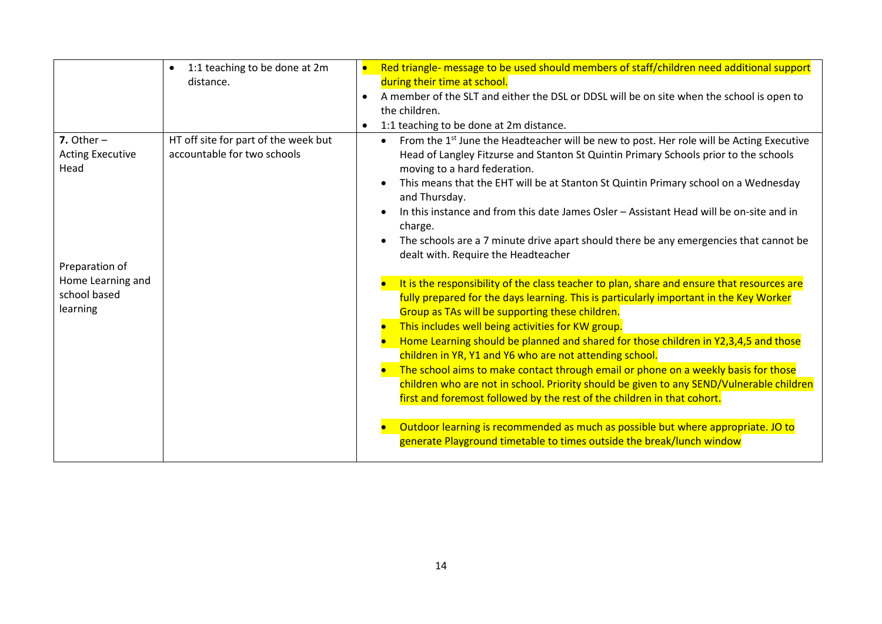|                                                                                                                    | 1:1 teaching to be done at 2m<br>$\bullet$<br>distance.             | $\bullet$<br>$\bullet$<br>$\bullet$ | Red triangle- message to be used should members of staff/children need additional support<br>during their time at school.<br>A member of the SLT and either the DSL or DDSL will be on site when the school is open to<br>the children.<br>1:1 teaching to be done at 2m distance.                                                                                                                                                                                                                                                                                                                                                                                                                                                                                                                                                                                       |
|--------------------------------------------------------------------------------------------------------------------|---------------------------------------------------------------------|-------------------------------------|--------------------------------------------------------------------------------------------------------------------------------------------------------------------------------------------------------------------------------------------------------------------------------------------------------------------------------------------------------------------------------------------------------------------------------------------------------------------------------------------------------------------------------------------------------------------------------------------------------------------------------------------------------------------------------------------------------------------------------------------------------------------------------------------------------------------------------------------------------------------------|
| 7. Other $-$<br><b>Acting Executive</b><br>Head<br>Preparation of<br>Home Learning and<br>school based<br>learning | HT off site for part of the week but<br>accountable for two schools |                                     | From the 1 <sup>st</sup> June the Headteacher will be new to post. Her role will be Acting Executive<br>$\bullet$<br>Head of Langley Fitzurse and Stanton St Quintin Primary Schools prior to the schools<br>moving to a hard federation.<br>This means that the EHT will be at Stanton St Quintin Primary school on a Wednesday<br>and Thursday.<br>In this instance and from this date James Osler - Assistant Head will be on-site and in<br>charge.<br>The schools are a 7 minute drive apart should there be any emergencies that cannot be<br>dealt with. Require the Headteacher                                                                                                                                                                                                                                                                                  |
|                                                                                                                    |                                                                     |                                     | It is the responsibility of the class teacher to plan, share and ensure that resources are<br>fully prepared for the days learning. This is particularly important in the Key Worker<br>Group as TAs will be supporting these children.<br>This includes well being activities for KW group.<br>Home Learning should be planned and shared for those children in Y2,3,4,5 and those<br>children in YR, Y1 and Y6 who are not attending school.<br>The school aims to make contact through email or phone on a weekly basis for those<br>children who are not in school. Priority should be given to any SEND/Vulnerable children<br>first and foremost followed by the rest of the children in that cohort.<br>Outdoor learning is recommended as much as possible but where appropriate. JO to<br>generate Playground timetable to times outside the break/lunch window |